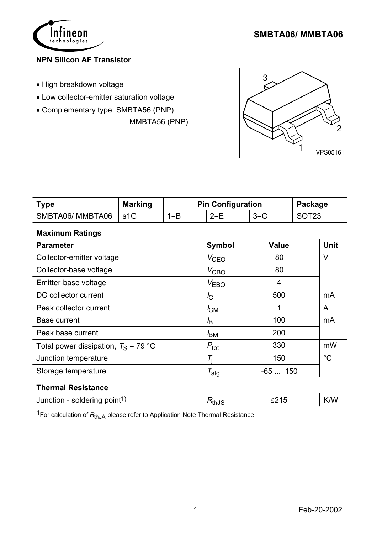

### **NPN Silicon AF Transistor**

- High breakdown voltage
- Low collector-emitter saturation voltage
- Complementary type: SMBTA56 (PNP)

MMBTA56 (PNP)



| <b>Гуре</b>     | <b>Marking</b> | <b>Pin Configuration</b> |         |         | Package           |
|-----------------|----------------|--------------------------|---------|---------|-------------------|
| SMBTA06/MMBTA06 | s1G            | $1 = B$                  | $2 = E$ | $3 = C$ | SOT <sub>23</sub> |

### **Maximum Ratings**

| <b>Parameter</b>                       | <b>Symbol</b>          | <b>Value</b> | <b>Unit</b> |
|----------------------------------------|------------------------|--------------|-------------|
| Collector-emitter voltage              | $V_{\text{CEO}}$       | 80           | V           |
| Collector-base voltage                 | $V_{\text{CBO}}$       | 80           |             |
| Emitter-base voltage                   | $V_{EBO}$              | 4            |             |
| DC collector current                   | $\overline{C}$         | 500          | mA          |
| Peak collector current                 | $I_{CM}$               | 1            | A           |
| <b>Base current</b>                    | I <sub>B</sub>         | 100          | mA          |
| Peak base current                      | <i>I</i> <sub>BM</sub> | 200          |             |
| Total power dissipation, $T_S = 79 °C$ | $P_{\text{tot}}$       | 330          | mW          |
| Junction temperature                   | $\mathcal{T}_\text{i}$ | 150          | $^{\circ}C$ |
| Storage temperature                    | $T_{\text{stg}}$       | $-65150$     |             |
| <b>Thermal Resistance</b>              |                        |              |             |

| Junction - soldering point <sup>1)</sup> | $\mathsf{r}_{\mathsf{thJS}}$ | -- | K/W |
|------------------------------------------|------------------------------|----|-----|
|                                          |                              |    |     |

<sup>1</sup>For calculation of  $R_{thJA}$  please refer to Application Note Thermal Resistance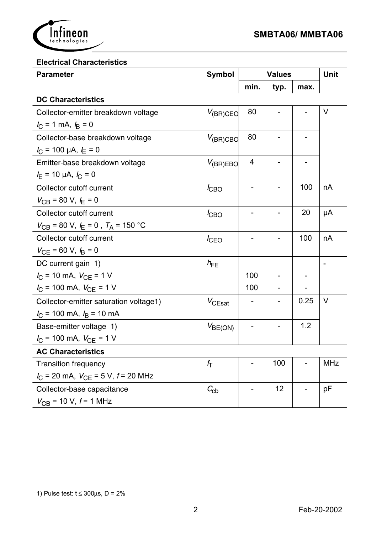

# **Electrical Characteristics**

| <b>Parameter</b>                                      | <b>Symbol</b>      | <b>Values</b> |      |      | <b>Unit</b> |
|-------------------------------------------------------|--------------------|---------------|------|------|-------------|
|                                                       |                    | min.          | typ. | max. |             |
| <b>DC Characteristics</b>                             |                    |               |      |      |             |
| Collector-emitter breakdown voltage                   | $V_{(BR)CEO}$      | 80            |      |      | V           |
| $I_C = 1$ mA, $I_B = 0$                               |                    |               |      |      |             |
| Collector-base breakdown voltage                      | $V_{(BR)CBO}$      | 80            |      |      |             |
| $I_C$ = 100 µA, $I_E$ = 0                             |                    |               |      |      |             |
| Emitter-base breakdown voltage                        | $V_{(BR)EBO}$      | 4             |      |      |             |
| $I_{E}$ = 10 µA, $I_{C}$ = 0                          |                    |               |      |      |             |
| Collector cutoff current                              | $I_{CBO}$          |               |      | 100  | nA          |
| $V_{CB}$ = 80 V, $I_E$ = 0                            |                    |               |      |      |             |
| Collector cutoff current                              | $I_{CBO}$          |               |      | 20   | μA          |
| $V_{CB}$ = 80 V, $I_E$ = 0, $T_A$ = 150 °C            |                    |               |      |      |             |
| <b>Collector cutoff current</b>                       | $I_{\text{CEO}}$   |               |      | 100  | nA          |
| $V_{CE}$ = 60 V, $I_B$ = 0                            |                    |               |      |      |             |
| DC current gain 1)                                    | $h_{FE}$           |               |      |      |             |
| $I_{\rm C}$ = 10 mA, $V_{\rm CE}$ = 1 V               |                    | 100           |      |      |             |
| $I_{\rm C}$ = 100 mA, $V_{\rm CE}$ = 1 V              |                    | 100           |      |      |             |
| Collector-emitter saturation voltage1)                | $V_{\text{CEsat}}$ |               |      | 0.25 | V           |
| $I_{\rm C}$ = 100 mA, $I_{\rm B}$ = 10 mA             |                    |               |      |      |             |
| Base-emitter voltage 1)                               | $V_{BE(ON)}$       |               |      | 1.2  |             |
| $I_{\rm C}$ = 100 mA, $V_{\rm CE}$ = 1 V              |                    |               |      |      |             |
| <b>AC Characteristics</b>                             |                    |               |      |      |             |
| <b>Transition frequency</b>                           | $f_{\mathsf{T}}$   |               | 100  |      | <b>MHz</b>  |
| $I_{\rm C}$ = 20 mA, $V_{\rm CE}$ = 5 V, $f$ = 20 MHz |                    |               |      |      |             |
| Collector-base capacitance                            | $C_{\rm cb}$       |               | 12   |      | pF          |
| $V_{CB}$ = 10 V, $f$ = 1 MHz                          |                    |               |      |      |             |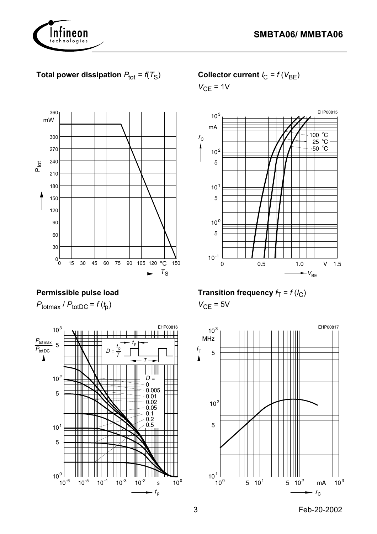

# **Total power dissipation**  $P_{\text{tot}} = f(T_S)$



## **Permissible pulse load**

 $P_{\text{totmax}}$  /  $P_{\text{totDC}}$  =  $f(t_{p})$ 



## Collector current  $I_C = f(V_{BE})$

 $V_{CE}$  = 1V



### **Transition frequency**  $f_T = f(l_C)$

 $V_{CE}$  = 5V